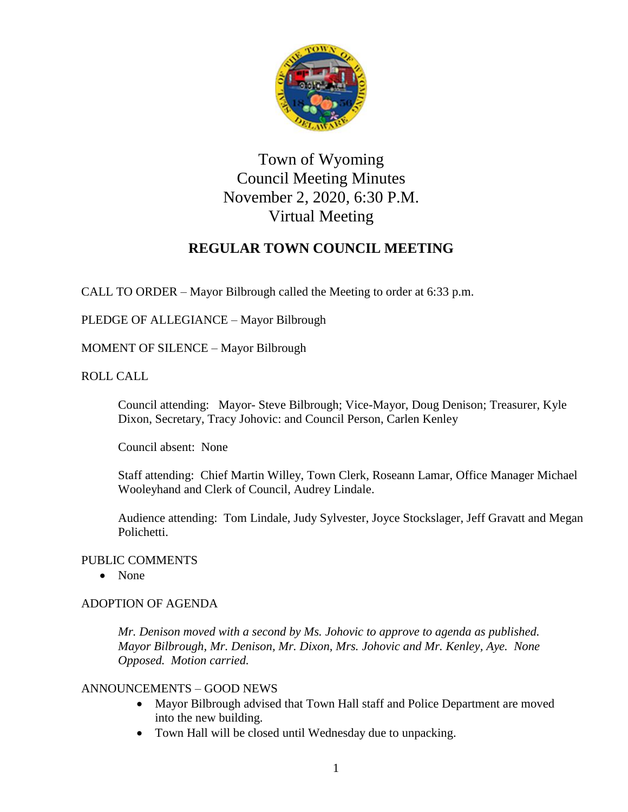

# Town of Wyoming Council Meeting Minutes November 2, 2020, 6:30 P.M. Virtual Meeting

## **REGULAR TOWN COUNCIL MEETING**

CALL TO ORDER – Mayor Bilbrough called the Meeting to order at 6:33 p.m.

PLEDGE OF ALLEGIANCE – Mayor Bilbrough

MOMENT OF SILENCE – Mayor Bilbrough

ROLL CALL

Council attending: Mayor- Steve Bilbrough; Vice-Mayor, Doug Denison; Treasurer, Kyle Dixon, Secretary, Tracy Johovic: and Council Person, Carlen Kenley

Council absent: None

Staff attending: Chief Martin Willey, Town Clerk, Roseann Lamar, Office Manager Michael Wooleyhand and Clerk of Council, Audrey Lindale.

Audience attending: Tom Lindale, Judy Sylvester, Joyce Stockslager, Jeff Gravatt and Megan Polichetti.

## PUBLIC COMMENTS

• None

## ADOPTION OF AGENDA

*Mr. Denison moved with a second by Ms. Johovic to approve to agenda as published. Mayor Bilbrough, Mr. Denison, Mr. Dixon, Mrs. Johovic and Mr. Kenley, Aye. None Opposed. Motion carried.*

## ANNOUNCEMENTS – GOOD NEWS

- Mayor Bilbrough advised that Town Hall staff and Police Department are moved into the new building.
- Town Hall will be closed until Wednesday due to unpacking.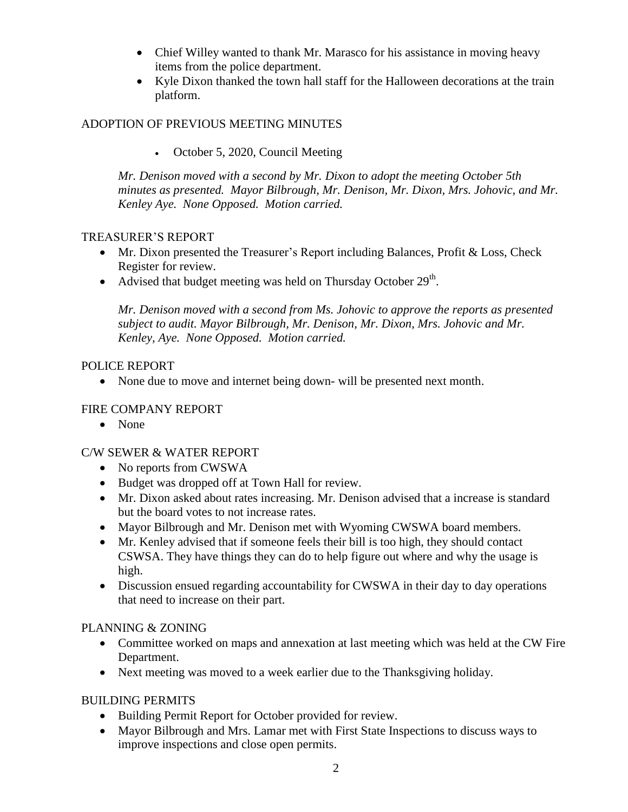- Chief Willey wanted to thank Mr. Marasco for his assistance in moving heavy items from the police department.
- Kyle Dixon thanked the town hall staff for the Halloween decorations at the train platform.

## ADOPTION OF PREVIOUS MEETING MINUTES

• October 5, 2020, Council Meeting

*Mr. Denison moved with a second by Mr. Dixon to adopt the meeting October 5th minutes as presented. Mayor Bilbrough, Mr. Denison, Mr. Dixon, Mrs. Johovic, and Mr. Kenley Aye. None Opposed. Motion carried.*

## TREASURER'S REPORT

- Mr. Dixon presented the Treasurer's Report including Balances, Profit & Loss, Check Register for review.
- Advised that budget meeting was held on Thursday October  $29<sup>th</sup>$ .

*Mr. Denison moved with a second from Ms. Johovic to approve the reports as presented subject to audit. Mayor Bilbrough, Mr. Denison, Mr. Dixon, Mrs. Johovic and Mr. Kenley, Aye. None Opposed. Motion carried.*

## POLICE REPORT

• None due to move and internet being down- will be presented next month.

## FIRE COMPANY REPORT

• None

## C/W SEWER & WATER REPORT

- No reports from CWSWA
- Budget was dropped off at Town Hall for review.
- Mr. Dixon asked about rates increasing. Mr. Denison advised that a increase is standard but the board votes to not increase rates.
- Mayor Bilbrough and Mr. Denison met with Wyoming CWSWA board members.
- Mr. Kenley advised that if someone feels their bill is too high, they should contact CSWSA. They have things they can do to help figure out where and why the usage is high.
- Discussion ensued regarding accountability for CWSWA in their day to day operations that need to increase on their part.

## PLANNING & ZONING

- Committee worked on maps and annexation at last meeting which was held at the CW Fire Department.
- Next meeting was moved to a week earlier due to the Thanksgiving holiday.

## BUILDING PERMITS

- Building Permit Report for October provided for review.
- Mayor Bilbrough and Mrs. Lamar met with First State Inspections to discuss ways to improve inspections and close open permits.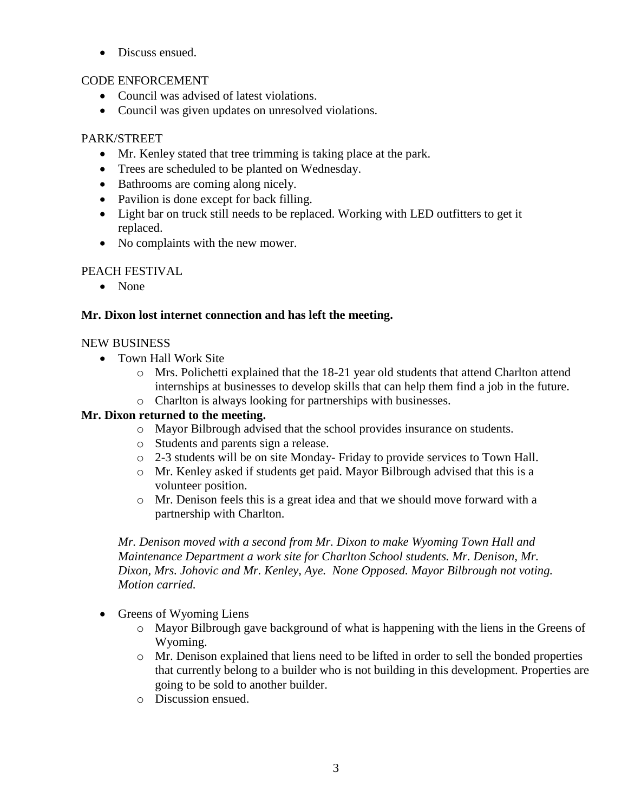• Discuss ensued.

## CODE ENFORCEMENT

- Council was advised of latest violations.
- Council was given updates on unresolved violations.

## PARK/STREET

- Mr. Kenley stated that tree trimming is taking place at the park.
- Trees are scheduled to be planted on Wednesday.
- Bathrooms are coming along nicely.
- Pavilion is done except for back filling.
- Light bar on truck still needs to be replaced. Working with LED outfitters to get it replaced.
- No complaints with the new mower.

## PEACH FESTIVAL

• None

## **Mr. Dixon lost internet connection and has left the meeting.**

## NEW BUSINESS

- Town Hall Work Site
	- o Mrs. Polichetti explained that the 18-21 year old students that attend Charlton attend internships at businesses to develop skills that can help them find a job in the future.
	- o Charlton is always looking for partnerships with businesses.

## **Mr. Dixon returned to the meeting.**

- o Mayor Bilbrough advised that the school provides insurance on students.
- o Students and parents sign a release.
- o 2-3 students will be on site Monday- Friday to provide services to Town Hall.
- o Mr. Kenley asked if students get paid. Mayor Bilbrough advised that this is a volunteer position.
- o Mr. Denison feels this is a great idea and that we should move forward with a partnership with Charlton.

*Mr. Denison moved with a second from Mr. Dixon to make Wyoming Town Hall and Maintenance Department a work site for Charlton School students. Mr. Denison, Mr. Dixon, Mrs. Johovic and Mr. Kenley, Aye. None Opposed. Mayor Bilbrough not voting. Motion carried.* 

- Greens of Wyoming Liens
	- o Mayor Bilbrough gave background of what is happening with the liens in the Greens of Wyoming.
	- o Mr. Denison explained that liens need to be lifted in order to sell the bonded properties that currently belong to a builder who is not building in this development. Properties are going to be sold to another builder.
	- o Discussion ensued.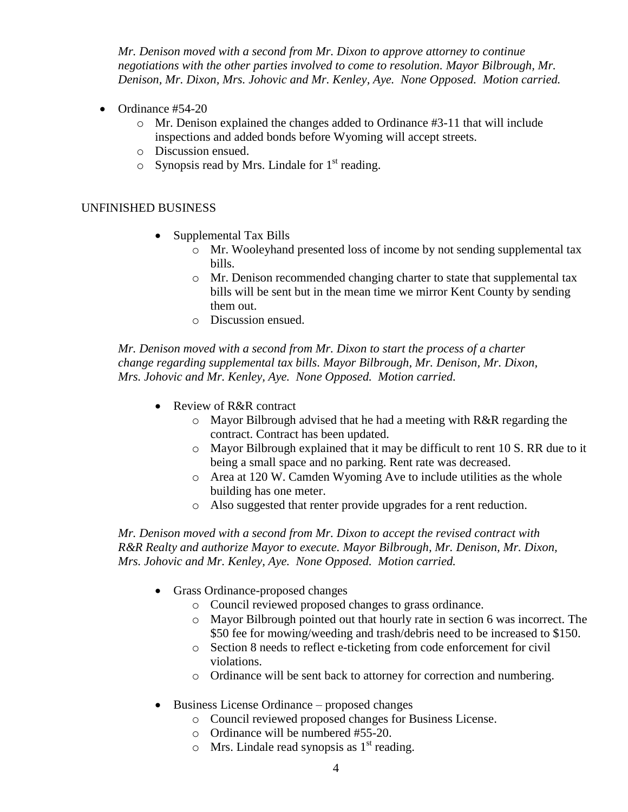*Mr. Denison moved with a second from Mr. Dixon to approve attorney to continue negotiations with the other parties involved to come to resolution. Mayor Bilbrough, Mr. Denison, Mr. Dixon, Mrs. Johovic and Mr. Kenley, Aye. None Opposed. Motion carried.* 

- $\bullet$  Ordinance #54-20
	- o Mr. Denison explained the changes added to Ordinance #3-11 that will include inspections and added bonds before Wyoming will accept streets.
	- o Discussion ensued.
	- $\circ$  Synopsis read by Mrs. Lindale for 1<sup>st</sup> reading.

#### UNFINISHED BUSINESS

- Supplemental Tax Bills
	- o Mr. Wooleyhand presented loss of income by not sending supplemental tax bills.
	- $\circ$  Mr. Denison recommended changing charter to state that supplemental tax bills will be sent but in the mean time we mirror Kent County by sending them out.
	- o Discussion ensued.

*Mr. Denison moved with a second from Mr. Dixon to start the process of a charter change regarding supplemental tax bills. Mayor Bilbrough, Mr. Denison, Mr. Dixon, Mrs. Johovic and Mr. Kenley, Aye. None Opposed. Motion carried.* 

- Review of R&R contract
	- o Mayor Bilbrough advised that he had a meeting with R&R regarding the contract. Contract has been updated.
	- $\circ$  Mayor Bilbrough explained that it may be difficult to rent 10 S. RR due to it being a small space and no parking. Rent rate was decreased.
	- o Area at 120 W. Camden Wyoming Ave to include utilities as the whole building has one meter.
	- o Also suggested that renter provide upgrades for a rent reduction.

*Mr. Denison moved with a second from Mr. Dixon to accept the revised contract with R&R Realty and authorize Mayor to execute. Mayor Bilbrough, Mr. Denison, Mr. Dixon, Mrs. Johovic and Mr. Kenley, Aye. None Opposed. Motion carried.* 

- Grass Ordinance-proposed changes
	- o Council reviewed proposed changes to grass ordinance.
	- o Mayor Bilbrough pointed out that hourly rate in section 6 was incorrect. The \$50 fee for mowing/weeding and trash/debris need to be increased to \$150.
	- o Section 8 needs to reflect e-ticketing from code enforcement for civil violations.
	- o Ordinance will be sent back to attorney for correction and numbering.
- Business License Ordinance proposed changes
	- o Council reviewed proposed changes for Business License.
	- o Ordinance will be numbered #55-20.
	- $\circ$  Mrs. Lindale read synopsis as 1<sup>st</sup> reading.